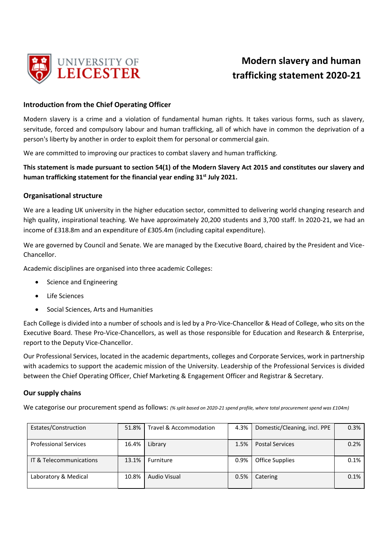

# **Modern slavery and human trafficking statement 2020-21**

## **Introduction from the Chief Operating Officer**

Modern slavery is a crime and a violation of fundamental human rights. It takes various forms, such as slavery, servitude, forced and compulsory labour and human trafficking, all of which have in common the deprivation of a person's liberty by another in order to exploit them for personal or commercial gain.

We are committed to improving our practices to combat slavery and human trafficking.

**This statement is made pursuant to section 54(1) of the Modern Slavery Act 2015 and constitutes our slavery and human trafficking statement for the financial year ending 31st July 2021.**

### **Organisational structure**

We are a leading UK university in the higher education sector, committed to delivering world changing research and high quality, inspirational teaching. We have approximately 20,200 students and 3,700 staff. In 2020-21, we had an income of £318.8m and an expenditure of £305.4m (including capital expenditure).

We are governed by Council and Senate. We are managed by the Executive Board, chaired by the President and Vice-Chancellor.

Academic disciplines are organised into three academic Colleges:

- Science and Engineering
- Life Sciences
- Social Sciences, Arts and Humanities

Each College is divided into a number of schools and is led by a Pro-Vice-Chancellor & Head of College, who sits on the Executive Board. These Pro-Vice-Chancellors, as well as those responsible for Education and Research & Enterprise, report to the Deputy Vice-Chancellor.

Our Professional Services, located in the academic departments, colleges and Corporate Services, work in partnership with academics to support the academic mission of the University. Leadership of the Professional Services is divided between the Chief Operating Officer, Chief Marketing & Engagement Officer and Registrar & Secretary.

## **Our supply chains**

We categorise our procurement spend as follows: *(% split based on 2020-21 spend profile, where total procurement spend was £104m)*

| Estates/Construction         | 51.8% | Travel & Accommodation | 4.3% | Domestic/Cleaning, incl. PPE | 0.3% |
|------------------------------|-------|------------------------|------|------------------------------|------|
| <b>Professional Services</b> | 16.4% | Library                | 1.5% | <b>Postal Services</b>       | 0.2% |
| IT & Telecommunications      | 13.1% | Furniture              | 0.9% | <b>Office Supplies</b>       | 0.1% |
| Laboratory & Medical         | 10.8% | Audio Visual           | 0.5% | Catering                     | 0.1% |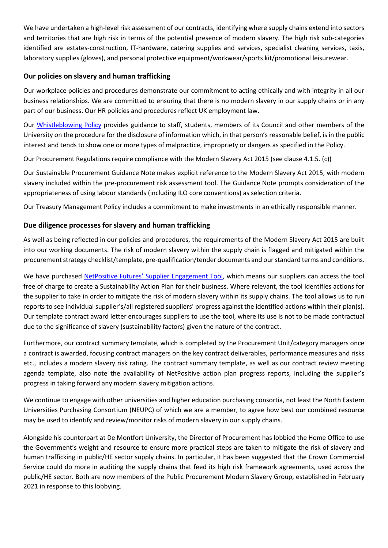We have undertaken a high-level risk assessment of our contracts, identifying where supply chains extend into sectors and territories that are high risk in terms of the potential presence of modern slavery. The high risk sub-categories identified are estates-construction, IT-hardware, catering supplies and services, specialist cleaning services, taxis, laboratory supplies (gloves), and personal protective equipment/workwear/sports kit/promotional leisurewear.

# **Our policies on slavery and human trafficking**

Our workplace policies and procedures demonstrate our commitment to acting ethically and with integrity in all our business relationships. We are committed to ensuring that there is no modern slavery in our supply chains or in any part of our business. Our HR policies and procedures reflect UK employment law.

Our [Whistleblowing Policy](https://le.ac.uk/about/governance-management/governance/policies) provides guidance to staff, students, members of its Council and other members of the University on the procedure for the disclosure of information which, in that person's reasonable belief, is in the public interest and tends to show one or more types of malpractice, impropriety or dangers as specified in the Policy.

Our Procurement Regulations require compliance with the Modern Slavery Act 2015 (see clause 4.1.5. (c))

Our Sustainable Procurement Guidance Note makes explicit reference to the Modern Slavery Act 2015, with modern slavery included within the pre-procurement risk assessment tool. The Guidance Note prompts consideration of the appropriateness of using labour standards (including ILO core conventions) as selection criteria.

Our Treasury Management Policy includes a commitment to make investments in an ethically responsible manner.

## **Due diligence processes for slavery and human trafficking**

As well as being reflected in our policies and procedures, the requirements of the Modern Slavery Act 2015 are built into our working documents. The risk of modern slavery within the supply chain is flagged and mitigated within the procurement strategy checklist/template, pre-qualification/tender documents and our standard terms and conditions.

We have purchased [NetPositive Futures' Supplier](https://supplierengagementhe.net-positive.org/) Engagement Tool, which means our suppliers can access the tool free of charge to create a Sustainability Action Plan for their business. Where relevant, the tool identifies actions for the supplier to take in order to mitigate the risk of modern slavery within its supply chains. The tool allows us to run reports to see individual supplier's/all registered suppliers' progress against the identified actions within their plan(s). Our template contract award letter encourages suppliers to use the tool, where its use is not to be made contractual due to the significance of slavery (sustainability factors) given the nature of the contract.

Furthermore, our contract summary template, which is completed by the Procurement Unit/category managers once a contract is awarded, focusing contract managers on the key contract deliverables, performance measures and risks etc., includes a modern slavery risk rating. The contract summary template, as well as our contract review meeting agenda template, also note the availability of NetPositive action plan progress reports, including the supplier's progress in taking forward any modern slavery mitigation actions.

We continue to engage with other universities and higher education purchasing consortia, not least the North Eastern Universities Purchasing Consortium (NEUPC) of which we are a member, to agree how best our combined resource may be used to identify and review/monitor risks of modern slavery in our supply chains.

Alongside his counterpart at De Montfort University, the Director of Procurement has lobbied the Home Office to use the Government's weight and resource to ensure more practical steps are taken to mitigate the risk of slavery and human trafficking in public/HE sector supply chains. In particular, it has been suggested that the Crown Commercial Service could do more in auditing the supply chains that feed its high risk framework agreements, used across the public/HE sector. Both are now members of the Public Procurement Modern Slavery Group, established in February 2021 in response to this lobbying.